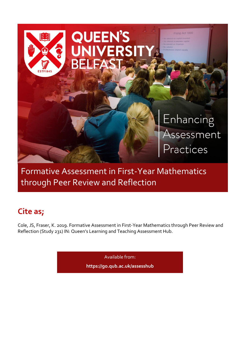

Formative Assessment in First-Year Mathematics through Peer Review and Reflection

# **Cite as;**

Cole, JS, Fraser, K. 2019. Formative Assessment in First-Year Mathematics through Peer Review and Reflection (Study 231) IN: Queen's Learning and Teaching Assessment Hub.

Available from:

**<https://go.qub.ac.uk/assesshub>**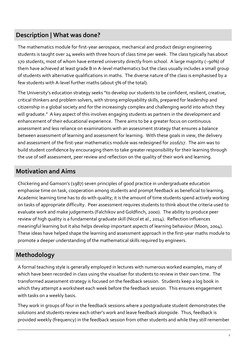#### **Description | What was done?**

The mathematics module for first-year aerospace, mechanical and product design engineering students is taught over 24 weeks with three hours of class time per week. The class typically has about 170 students, most of whom have entered university directly from school. A large majority (~90%) of them have achieved at least grade B in A-level mathematics but the class usually includes a small group of students with alternative qualifications in maths. The diverse nature of the class is emphasised by a few students with A-level further maths (about 5% of the total).

The University's education strategy seeks "to develop our students to be confident, resilient, creative, critical thinkers and problem solvers, with strong employability skills, prepared for leadership and citizenship in a global society and for the increasingly complex and challenging world into which they will graduate." A key aspect of this involves engaging students as partners in the development and enhancement of their educational experience. There aims to be a greater focus on continuous assessment and less reliance on examinations with an assessment strategy that ensures a balance between assessment of learning and assessment for learning. With these goals in view, the delivery and assessment of the first-year mathematics module was redesigned for 2016/17. The aim was to build student confidence by encouraging them to take greater responsibility for their learning through the use of self assessment, peer review and reflection on the quality of their work and learning.

#### **Motivation and Aims**

Chickering and Gamson's (1987) seven principles of good practice in undergraduate education emphasise time on task, cooperation among students and prompt feedback as beneficial to learning. Academic learning time has to do with quality; it is the amount of time students spend actively working on tasks of appropriate difficulty. Peer assessment requires students to think about the criteria used to evaluate work and make judgements (Falchikov and Goldfinch, 2000). The ability to produce peer review of high quality is a fundamental graduate skill (Nicol et al., 2014). Reflection influences meaningful learning but it also helps develop important aspects of learning behaviour (Moon, 2004). These ideas have helped shape the learning and assessment approach in the first-year maths module to promote a deeper understanding of the mathematical skills required by engineers.

### **Methodology**

A formal teaching style is generally employed in lectures with numerous worked examples, many of which have been recorded in class using the visualiser for students to review in their own time. The transformed assessment strategy is focused on the feedback session. Students keep a log book in which they attempt a worksheet each week before the feedback session. This ensures engagement with tasks on a weekly basis.

They work in groups of four in the feedback sessions where a postgraduate student demonstrates the solutions and students review each other's work and leave feedback alongside. Thus, feedback is provided weekly (frequency) in the feedback session from other students and while they still remember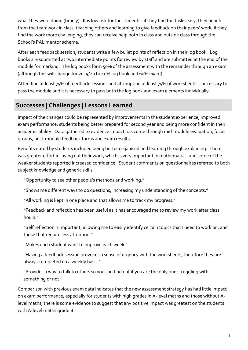what they were doing (timely). It is low risk for the students: if they find the tasks easy, they benefit from the teamwork in class, teaching others and learning to give feedback on their peers' work; if they find the work more challenging, they can receive help both in class and outside class through the School's PAL mentor scheme.

After each feedback session, students write a few bullet points of reflection in their log book. Log books are submitted at two intermediate points for review by staff and are submitted at the end of the module for marking. The log books form 50% of the assessment with the remainder through an exam (although this will change for 2019/20 to 40% log book and 60% exam).

Attending at least 75% of feedback sessions and attempting at least 75% of worksheets is necessary to pass the module and it is necessary to pass both the log book and exam elements individually.

## **Successes | Challenges | Lessons Learned**

Impact of the changes could be represented by improvements in the student experience, improved exam performance, students being better prepared for second year and being more confident in their academic ability. Data gathered to evidence impact has come through mid-module evaluation, focus groups, post-module feedback forms and exam results.

Benefits noted by students included being better organised and learning through explaining. There was greater effort in laying out their work, which is very important in mathematics, and some of the weaker students reported increased confidence. Student comments on questionnaires referred to both subject knowledge and generic skills:

"Opportunity to see other people's methods and working."

"Shows me different ways to do questions, increasing my understanding of the concepts."

"All working is kept in one place and that allows me to track my progress."

"Feedback and reflection has been useful as it has encouraged me to review my work after class hours."

"Self reflection is important, allowing me to easily identify certain topics that I need to work on, and those that require less attention."

"Makes each student want to improve each week."

"Having a feedback session provokes a sense of urgency with the worksheets, therefore they are always completed on a weekly basis."

"Provides a way to talk to others so you can find out if you are the only one struggling with something or not."

Comparison with previous exam data indicates that the new assessment strategy has had little impact on exam performance, especially for students with high grades in A-level maths and those without Alevel maths; there is some evidence to suggest that any positive impact was greatest on the students with A-level maths grade B.